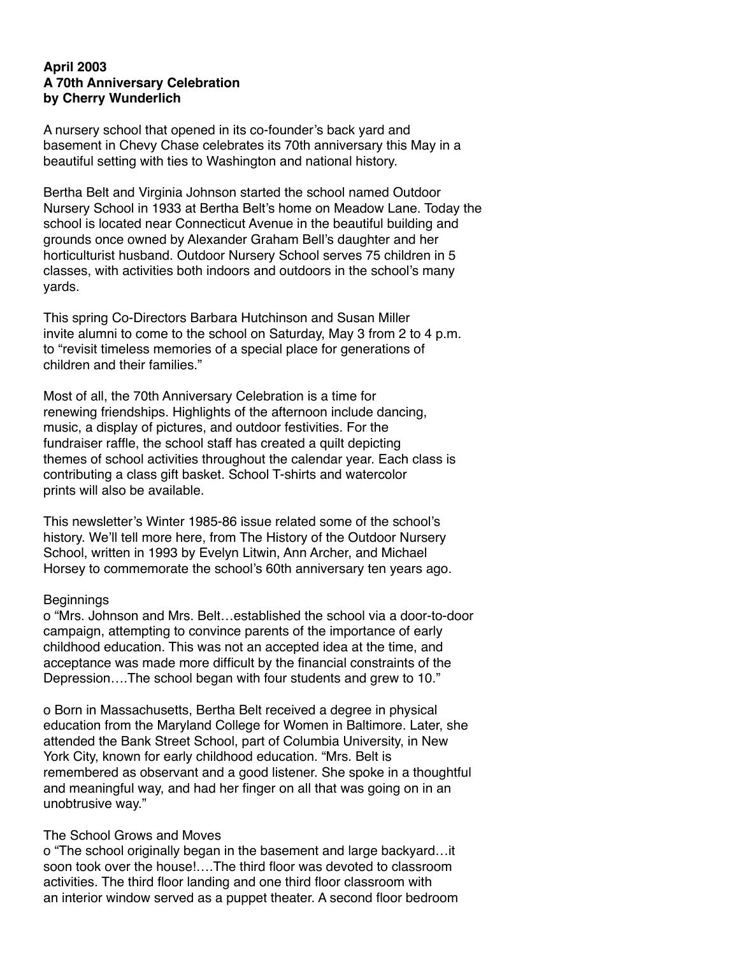# **April 2003 A 70th Anniversary Celebration by Cherry Wunderlich**

A nursery school that opened in its co-founder's back yard and basement in Chevy Chase celebrates its 70th anniversary this May in a beautiful setting with ties to Washington and national history.

Bertha Belt and Virginia Johnson started the school named Outdoor Nursery School in 1933 at Bertha Belt's home on Meadow Lane. Today the school is located near Connecticut Avenue in the beautiful building and grounds once owned by Alexander Graham Bell's daughter and her horticulturist husband. Outdoor Nursery School serves 75 children in 5 classes, with activities both indoors and outdoors in the school's many yards.

This spring Co-Directors Barbara Hutchinson and Susan Miller invite alumni to come to the school on Saturday, May 3 from 2 to 4 p.m. to "revisit timeless memories of a special place for generations of children and their families."

Most of all, the 70th Anniversary Celebration is a time for renewing friendships. Highlights of the afternoon include dancing, music, a display of pictures, and outdoor festivities. For the fundraiser raffle, the school staff has created a quilt depicting themes of school activities throughout the calendar year. Each class is contributing a class gift basket. School T-shirts and watercolor prints will also be available.

This newsletter's Winter 1985-86 issue related some of the school's history. We'll tell more here, from The History of the Outdoor Nursery School, written in 1993 by Evelyn Litwin, Ann Archer, and Michael Horsey to commemorate the school's 60th anniversary ten years ago.

#### **Beginnings**

o "Mrs. Johnson and Mrs. Belt…established the school via a door-to-door campaign, attempting to convince parents of the importance of early childhood education. This was not an accepted idea at the time, and acceptance was made more difficult by the financial constraints of the Depression….The school began with four students and grew to 10."

o Born in Massachusetts, Bertha Belt received a degree in physical education from the Maryland College for Women in Baltimore. Later, she attended the Bank Street School, part of Columbia University, in New York City, known for early childhood education. "Mrs. Belt is remembered as observant and a good listener. She spoke in a thoughtful and meaningful way, and had her finger on all that was going on in an unobtrusive way."

#### The School Grows and Moves

o "The school originally began in the basement and large backyard…it soon took over the house! The third floor was devoted to classroom activities. The third floor landing and one third floor classroom with an interior window served as a puppet theater. A second floor bedroom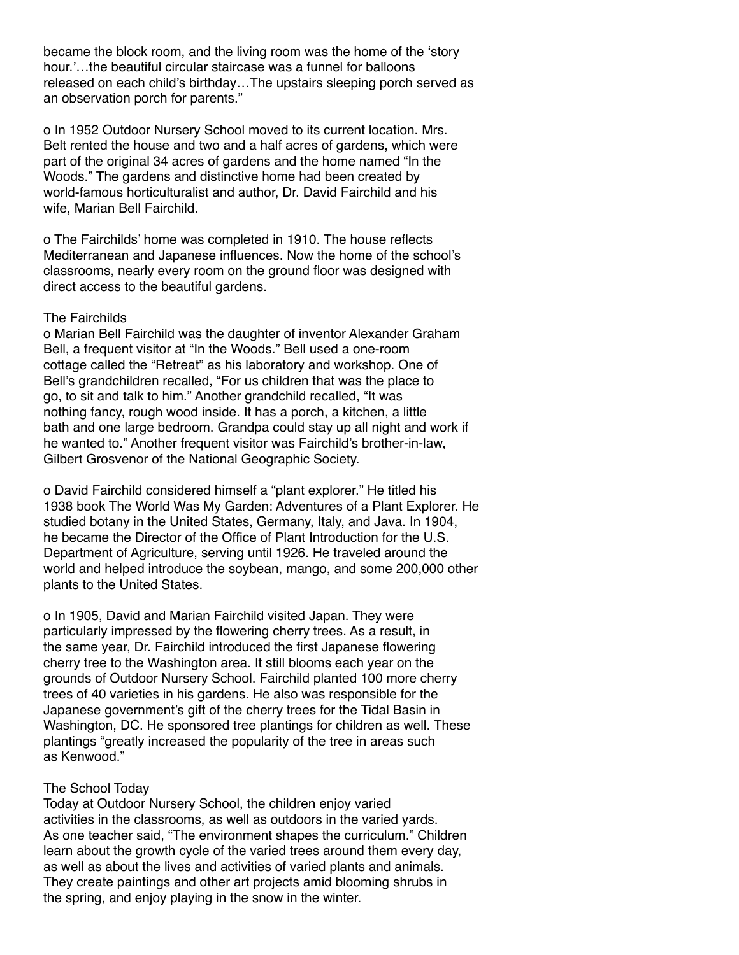became the block room, and the living room was the home of the 'story hour.'…the beautiful circular staircase was a funnel for balloons released on each child's birthday…The upstairs sleeping porch served as an observation porch for parents."

o In 1952 Outdoor Nursery School moved to its current location. Mrs. Belt rented the house and two and a half acres of gardens, which were part of the original 34 acres of gardens and the home named "In the Woods." The gardens and distinctive home had been created by world-famous horticulturalist and author, Dr. David Fairchild and his wife, Marian Bell Fairchild.

o The Fairchilds' home was completed in 1910. The house reflects Mediterranean and Japanese influences. Now the home of the school's classrooms, nearly every room on the ground floor was designed with direct access to the beautiful gardens.

### The Fairchilds

o Marian Bell Fairchild was the daughter of inventor Alexander Graham Bell, a frequent visitor at "In the Woods." Bell used a one-room cottage called the "Retreat" as his laboratory and workshop. One of Bell's grandchildren recalled, "For us children that was the place to go, to sit and talk to him." Another grandchild recalled, "It was nothing fancy, rough wood inside. It has a porch, a kitchen, a little bath and one large bedroom. Grandpa could stay up all night and work if he wanted to." Another frequent visitor was Fairchild's brother-in-law, Gilbert Grosvenor of the National Geographic Society.

o David Fairchild considered himself a "plant explorer." He titled his 1938 book The World Was My Garden: Adventures of a Plant Explorer. He studied botany in the United States, Germany, Italy, and Java. In 1904, he became the Director of the Office of Plant Introduction for the U.S. Department of Agriculture, serving until 1926. He traveled around the world and helped introduce the soybean, mango, and some 200,000 other plants to the United States.

o In 1905, David and Marian Fairchild visited Japan. They were particularly impressed by the flowering cherry trees. As a result, in the same year, Dr. Fairchild introduced the first Japanese flowering cherry tree to the Washington area. It still blooms each year on the grounds of Outdoor Nursery School. Fairchild planted 100 more cherry trees of 40 varieties in his gardens. He also was responsible for the Japanese government's gift of the cherry trees for the Tidal Basin in Washington, DC. He sponsored tree plantings for children as well. These plantings "greatly increased the popularity of the tree in areas such as Kenwood."

# The School Today

Today at Outdoor Nursery School, the children enjoy varied activities in the classrooms, as well as outdoors in the varied yards. As one teacher said, "The environment shapes the curriculum." Children learn about the growth cycle of the varied trees around them every day, as well as about the lives and activities of varied plants and animals. They create paintings and other art projects amid blooming shrubs in the spring, and enjoy playing in the snow in the winter.